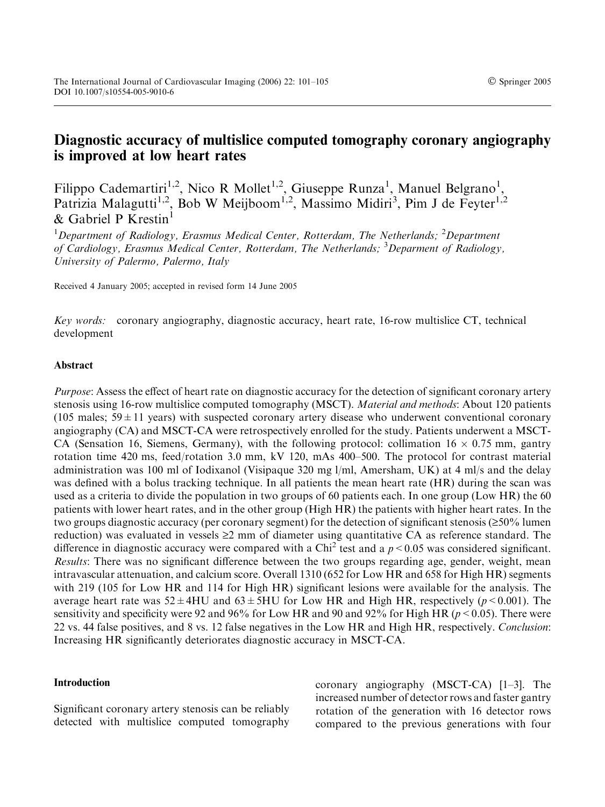# Diagnostic accuracy of multislice computed tomography coronary angiography is improved at low heart rates

Filippo Cademartiri<sup>1,2</sup>, Nico R Mollet<sup>1,2</sup>, Giuseppe Runza<sup>1</sup>, Manuel Belgrano<sup>1</sup>, Patrizia Malagutti<sup>1,2</sup>, Bob W Meijboom<sup>1,2</sup>, Massimo Midiri<sup>3</sup>, Pim J de Feyter<sup>1,2</sup> & Gabriel P Krestin<sup>1</sup>

 $^1$ Department of Radiology, Erasmus Medical Center, Rotterdam, The Netherlands;  $^2$ Department of Cardiology, Erasmus Medical Center, Rotterdam, The Netherlands; <sup>3</sup>Deparment of Radiology, University of Palermo, Palermo, Italy

Received 4 January 2005; accepted in revised form 14 June 2005

Key words: coronary angiography, diagnostic accuracy, heart rate, 16-row multislice CT, technical development

## Abstract

Purpose: Assess the effect of heart rate on diagnostic accuracy for the detection of significant coronary artery stenosis using 16-row multislice computed tomography (MSCT). *Material and methods*: About 120 patients (105 males;  $59 \pm 11$  years) with suspected coronary artery disease who underwent conventional coronary angiography (CA) and MSCT-CA were retrospectively enrolled for the study. Patients underwent a MSCT-CA (Sensation 16, Siemens, Germany), with the following protocol: collimation  $16 \times 0.75$  mm, gantry rotation time 420 ms, feed/rotation 3.0 mm, kV 120, mAs 400–500. The protocol for contrast material administration was 100 ml of Iodixanol (Visipaque 320 mg l/ml, Amersham, UK) at 4 ml/s and the delay was defined with a bolus tracking technique. In all patients the mean heart rate (HR) during the scan was used as a criteria to divide the population in two groups of 60 patients each. In one group (Low HR) the 60 patients with lower heart rates, and in the other group (High HR) the patients with higher heart rates. In the two groups diagnostic accuracy (per coronary segment) for the detection of significant stenosis  $(\geq 50\%$  lumen reduction) was evaluated in vessels  $\geq 2$  mm of diameter using quantitative CA as reference standard. The difference in diagnostic accuracy were compared with a Chi<sup>2</sup> test and a  $p < 0.05$  was considered significant. Results: There was no significant difference between the two groups regarding age, gender, weight, mean intravascular attenuation, and calcium score. Overall 1310 (652 for Low HR and 658 for High HR) segments with 219 (105 for Low HR and 114 for High HR) significant lesions were available for the analysis. The average heart rate was  $52 \pm 4$ HU and  $63 \pm 5$ HU for Low HR and High HR, respectively ( $p < 0.001$ ). The sensitivity and specificity were 92 and 96% for Low HR and 90 and 92% for High HR ( $p < 0.05$ ). There were 22 vs. 44 false positives, and 8 vs. 12 false negatives in the Low HR and High HR, respectively. Conclusion: Increasing HR significantly deteriorates diagnostic accuracy in MSCT-CA.

## Introduction

Significant coronary artery stenosis can be reliably detected with multislice computed tomography coronary angiography (MSCT-CA) [1–3]. The increased number of detector rows and faster gantry rotation of the generation with 16 detector rows compared to the previous generations with four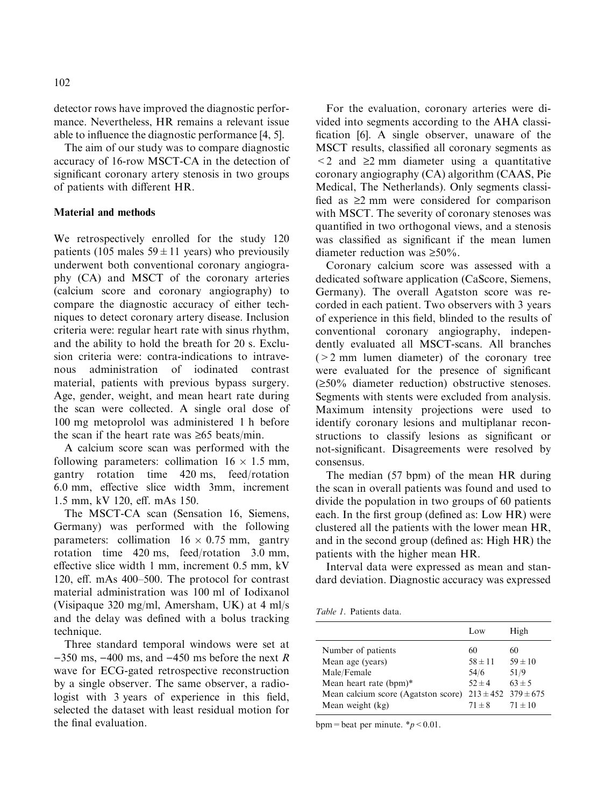detector rows have improved the diagnostic performance. Nevertheless, HR remains a relevant issue able to influence the diagnostic performance [4, 5].

The aim of our study was to compare diagnostic accuracy of 16-row MSCT-CA in the detection of significant coronary artery stenosis in two groups of patients with different HR.

### Material and methods

We retrospectively enrolled for the study 120 patients (105 males  $59 \pm 11$  years) who previousily underwent both conventional coronary angiography (CA) and MSCT of the coronary arteries (calcium score and coronary angiography) to compare the diagnostic accuracy of either techniques to detect coronary artery disease. Inclusion criteria were: regular heart rate with sinus rhythm, and the ability to hold the breath for 20 s. Exclusion criteria were: contra-indications to intravenous administration of iodinated contrast material, patients with previous bypass surgery. Age, gender, weight, and mean heart rate during the scan were collected. A single oral dose of 100 mg metoprolol was administered 1 h before the scan if the heart rate was  $\geq 65$  beats/min.

A calcium score scan was performed with the following parameters: collimation  $16 \times 1.5$  mm, gantry rotation time 420 ms, feed/rotation 6.0 mm, effective slice width 3mm, increment 1.5 mm, kV 120, eff. mAs 150.

The MSCT-CA scan (Sensation 16, Siemens, Germany) was performed with the following parameters: collimation  $16 \times 0.75$  mm, gantry rotation time 420 ms, feed/rotation 3.0 mm, effective slice width 1 mm, increment 0.5 mm, kV 120, eff. mAs 400–500. The protocol for contrast material administration was 100 ml of Iodixanol (Visipaque 320 mg/ml, Amersham, UK) at 4 ml/s and the delay was defined with a bolus tracking technique.

Three standard temporal windows were set at  $-350$  ms,  $-400$  ms, and  $-450$  ms before the next R wave for ECG-gated retrospective reconstruction by a single observer. The same observer, a radiologist with 3 years of experience in this field, selected the dataset with least residual motion for the final evaluation.

For the evaluation, coronary arteries were divided into segments according to the AHA classification [6]. A single observer, unaware of the MSCT results, classified all coronary segments as  $\leq$  2 and  $\geq$  2 mm diameter using a quantitative coronary angiography (CA) algorithm (CAAS, Pie Medical, The Netherlands). Only segments classified as  $\geq 2$  mm were considered for comparison with MSCT. The severity of coronary stenoses was quantified in two orthogonal views, and a stenosis was classified as significant if the mean lumen diameter reduction was  $\geq 50\%$ .

Coronary calcium score was assessed with a dedicated software application (CaScore, Siemens, Germany). The overall Agatston score was recorded in each patient. Two observers with 3 years of experience in this field, blinded to the results of conventional coronary angiography, independently evaluated all MSCT-scans. All branches  $(>2$  mm lumen diameter) of the coronary tree were evaluated for the presence of significant  $(\geq 50\%$  diameter reduction) obstructive stenoses. Segments with stents were excluded from analysis. Maximum intensity projections were used to identify coronary lesions and multiplanar reconstructions to classify lesions as significant or not-significant. Disagreements were resolved by consensus.

The median (57 bpm) of the mean HR during the scan in overall patients was found and used to divide the population in two groups of 60 patients each. In the first group (defined as: Low HR) were clustered all the patients with the lower mean HR, and in the second group (defined as: High HR) the patients with the higher mean HR.

Interval data were expressed as mean and standard deviation. Diagnostic accuracy was expressed

|                                                                                                                        | Low                                                                  | High                                  |
|------------------------------------------------------------------------------------------------------------------------|----------------------------------------------------------------------|---------------------------------------|
| Number of patients<br>Mean age (years)<br>Male/Female<br>Mean heart rate (bpm)*<br>Mean calcium score (Agatston score) | 60<br>$58 \pm 11$<br>54/6<br>$52 + 4$<br>$213 \pm 452$ 379 $\pm 675$ | 60<br>$59 \pm 10$<br>51/9<br>$63 + 5$ |
| Mean weight (kg)                                                                                                       | $71 + 8$                                                             | $71 \pm 10$                           |

bpm = beat per minute.  $\frac{*p}{0.01}$ .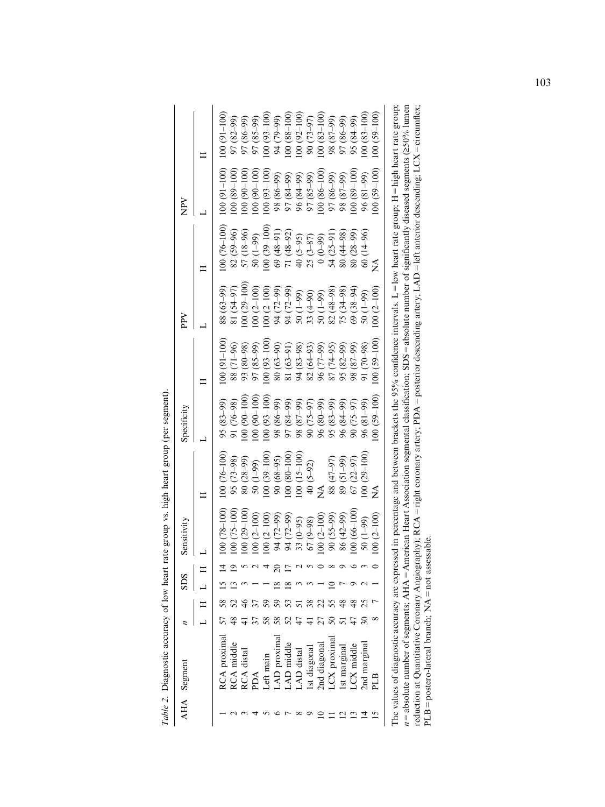| AHA Segment       |  | <b>SDS</b>          | Sensitivity       |                                | Specificity                                                                                                                                                                                                                                                                                                                                    |                | $_{\rm{peV}}$                                                                                                                              |                                | $_{\rm \widetilde{E}}$                               |                 |
|-------------------|--|---------------------|-------------------|--------------------------------|------------------------------------------------------------------------------------------------------------------------------------------------------------------------------------------------------------------------------------------------------------------------------------------------------------------------------------------------|----------------|--------------------------------------------------------------------------------------------------------------------------------------------|--------------------------------|------------------------------------------------------|-----------------|
|                   |  |                     |                   | ≖                              |                                                                                                                                                                                                                                                                                                                                                |                |                                                                                                                                            |                                |                                                      | Ξ               |
| RCA proximal      |  |                     | $(00 (78 - 100))$ | $100(76-100)$                  | $95(83 - 99)$                                                                                                                                                                                                                                                                                                                                  | $(001 - 100)$  | 88 (63–99)                                                                                                                                 | $(00(76-100))$                 | $100(91-100)$                                        | $100(91 - 100)$ |
| <b>CA</b> middle  |  | ≌                   | $(00(75-100))$    |                                | 91 $(76-98)$<br>100 $(90-100)$                                                                                                                                                                                                                                                                                                                 | 88 (71-96)     | 81 (54-97)                                                                                                                                 | 82 (59-96)                     | $(001 - 68)$ 00                                      | 97 (82-99)      |
| <b>RCA</b> distal |  |                     | $100(29-100)$     | 95 (73–98)<br>80 (28–99)       |                                                                                                                                                                                                                                                                                                                                                | 93 (80-98)     | $100(29-100)$                                                                                                                              | 57 (18-96)                     | $100(90-100)$                                        | 97 (86-99)      |
| ACc               |  |                     | $(00(2-100)$      | $(66-1)$ 05                    | $100(90-100)$                                                                                                                                                                                                                                                                                                                                  | 97 (85-99)     | $100(2-100)$                                                                                                                               | $\frac{50(1-99)}{100(39-100)}$ | $100(90-100)$                                        | 97 (85-99)      |
| Left main         |  |                     | $(00(2-100))$     | $100(39-100)$                  | $100(93-100)$                                                                                                                                                                                                                                                                                                                                  | $(001 - 50)$   | $100(2-100)$                                                                                                                               |                                | $100(93-100)$                                        | $100(93-100)$   |
| AD proxima        |  | $\overline{\infty}$ | 94 (72-99)        | $90(68-95)$                    |                                                                                                                                                                                                                                                                                                                                                | $(06-50)$ 08   |                                                                                                                                            |                                |                                                      | 66-62) +6       |
| AD middle         |  | $\infty$            | 94 (72-99)        | $100(80-100)$                  |                                                                                                                                                                                                                                                                                                                                                | 81 (63-91)     |                                                                                                                                            | 69 (48-91)<br>71 (48-92)       | 98 (86–99)<br>97 (84–99)<br>96 (84–99)<br>97 (85–99) | 100 (88-100     |
| AD distal         |  | 3                   | $33(0 - 95)$      | $100(15-100)$                  |                                                                                                                                                                                                                                                                                                                                                | 94 (83-98)     |                                                                                                                                            | $40(5-95)$                     |                                                      | $100(92-100)$   |
| Ist diagonal      |  |                     | $67(9-98)$        | 40 (5-92)                      | $\begin{array}{l} (66-08) \\ (6-2) \\ (6-2) \\ (6-18) \\ (6-18) \\ (6-18) \\ (6-9) \\ (6-9) \\ (6-9) \\ (6-9) \\ (6-9) \\ (6-9) \\ (6-9) \\ (6-9) \\ (6-9) \\ (6-9) \\ (6-9) \\ (6-9) \\ (6-9) \\ (6-9) \\ (6-9) \\ (6-9) \\ (6-9) \\ (6-9) \\ (6-9) \\ (6-9) \\ (6-9) \\ (6-9) \\ (6-9) \\ (6-9) \\ (6-9) \\ (6-9) \\ (6-9) \\ (6-9) \\ (6-9$ | $82(64-93)$    | $34 (72-99)$<br>$34 (72-99)$<br>$34 (72-99)$<br>$35 (4-99)$<br>$36 (4-99)$<br>$36 (48-98)$<br>$36 (48-98)$<br>$36 (48-98)$<br>$75 (34-98)$ | $25(3-87)$                     |                                                      | 90 (73-97)      |
| 2nd diagonal      |  |                     | $(00(2-100))$     | $\mathop{\mathsf{Z}}\nolimits$ |                                                                                                                                                                                                                                                                                                                                                | 96 (77-99)     |                                                                                                                                            | $(66-0)$                       | $100(86-100)$                                        | $100(83-100)$   |
| LCX proximal      |  |                     | $(66-52)$ 06      | (47-97)                        | 95 (83-99)                                                                                                                                                                                                                                                                                                                                     | $(74 - 95)$    |                                                                                                                                            | $54(25-91)$                    | 66-98) L6                                            | $(66-28)$ 86    |
| Ist margina       |  |                     | 86 (42–99)        | 89 (51-99)                     | 96 (84-99)                                                                                                                                                                                                                                                                                                                                     | $95 (82 - 99)$ |                                                                                                                                            | $(80(44-98))$                  | $(66-28)$ 86                                         | 97 (86-99)      |
| $CX$ middle       |  |                     | $00(66-100)$      | $67(22 - 97)$                  | 90 (75-97)                                                                                                                                                                                                                                                                                                                                     | 98 (87-99)     | $(38-94)$                                                                                                                                  | $(66 - 82)$ 08                 | $100(89-100)$                                        | 95 (84-99)      |
| 2nd margina       |  |                     | $50(1-99)$        | $100(29-100)$                  | 96 (81-99)                                                                                                                                                                                                                                                                                                                                     | 91 (70-98)     | $(66-1)$ 05                                                                                                                                | $60(14-96)$                    | 96 (81-99)                                           | $100(83 - 100)$ |
| РIJЗ              |  |                     | $(00(2-100))$     | ž                              | $00(59-100)$                                                                                                                                                                                                                                                                                                                                   | $(59 - 100)$   | $(00(2-100))$                                                                                                                              | ≨                              | $(001 - 65)$ 00                                      | $100(59-100)$   |
|                   |  |                     |                   |                                |                                                                                                                                                                                                                                                                                                                                                |                |                                                                                                                                            |                                |                                                      |                 |

| are expressed in percentage and between brackets the 95% confidence intervals. L = low heart rate group; H = high heart rate group;<br>le values of diagnostic accura               |
|-------------------------------------------------------------------------------------------------------------------------------------------------------------------------------------|
| $AHA =$ American Heart Association segmental classification; SDS = absolute number of significantly diseased segments ( $\geq 50\%$ lumen<br>bsolute number of segments:<br>$n = R$ |
| $\gamma$ Angiography); RCA = right coronary artery; PDA = posterior descending artery; LAD = left anterior descending; LCX = circumflex;                                            |
| $LB = posterior-lateral branch:$ N                                                                                                                                                  |

Table 2. Diagnostic accuracy of low heart rate group vs. high heart group (per segment). Table 2. Diagnostic accuracy of low heart rate group vs. high heart group (per segment).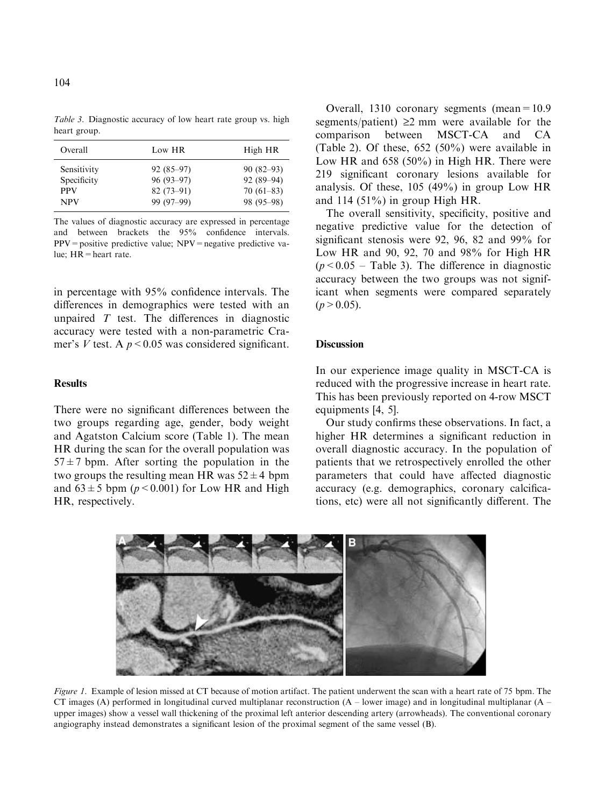| Overall     | Low HR      | High HR     |
|-------------|-------------|-------------|
| Sensitivity | $92(85-97)$ | $90(82-93)$ |
| Specificity | $96(93-97)$ | $92(89-94)$ |
| <b>PPV</b>  | $82(73-91)$ | $70(61-83)$ |
| <b>NPV</b>  | 99 (97–99)  | 98 (95–98)  |

The values of diagnostic accuracy are expressed in percentage and between brackets the 95% confidence intervals.  $PPV =$  positive predictive value;  $NPV =$  negative predictive value; HR=heart rate.

in percentage with 95% confidence intervals. The differences in demographics were tested with an unpaired  $T$  test. The differences in diagnostic accuracy were tested with a non-parametric Cramer's V test. A  $p < 0.05$  was considered significant.

### **Results**

There were no significant differences between the two groups regarding age, gender, body weight and Agatston Calcium score (Table 1). The mean HR during the scan for the overall population was  $57 \pm 7$  bpm. After sorting the population in the two groups the resulting mean HR was  $52 \pm 4$  bpm and  $63 \pm 5$  bpm ( $p < 0.001$ ) for Low HR and High HR, respectively.

Overall, 1310 coronary segments (mean=10.9 segments/patient)  $\geq$ 2 mm were available for the comparison between MSCT-CA and CA MSCT-CA and CA (Table 2). Of these, 652 (50%) were available in Low HR and 658 (50%) in High HR. There were 219 significant coronary lesions available for analysis. Of these, 105 (49%) in group Low HR and  $114$  (51%) in group High HR.

The overall sensitivity, specificity, positive and negative predictive value for the detection of significant stenosis were 92, 96, 82 and 99% for Low HR and 90, 92, 70 and 98% for High HR  $(p<0.05$  – Table 3). The difference in diagnostic accuracy between the two groups was not significant when segments were compared separately  $(p>0.05)$ .

## **Discussion**

In our experience image quality in MSCT-CA is reduced with the progressive increase in heart rate. This has been previously reported on 4-row MSCT equipments [4, 5].

Our study confirms these observations. In fact, a higher HR determines a significant reduction in overall diagnostic accuracy. In the population of patients that we retrospectively enrolled the other parameters that could have affected diagnostic accuracy (e.g. demographics, coronary calcifications, etc) were all not significantly different. The



Figure 1. Example of lesion missed at CT because of motion artifact. The patient underwent the scan with a heart rate of 75 bpm. The CT images (A) performed in longitudinal curved multiplanar reconstruction  $(A - lower image)$  and in longitudinal multiplanar  $(A$ upper images) show a vessel wall thickening of the proximal left anterior descending artery (arrowheads). The conventional coronary angiography instead demonstrates a significant lesion of the proximal segment of the same vessel (B).